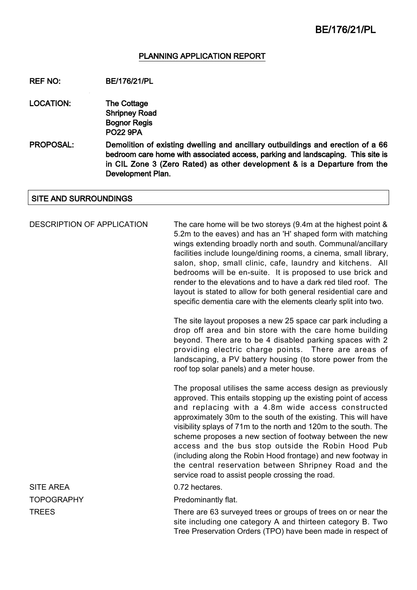#### PLANNING APPLICATION REPORT

REF NO: BE/176/21/PL

- LOCATION: The Cottage Shripney Road Bognor Regis PO22 9PA
- PROPOSAL: Demolition of existing dwelling and ancillary outbuildings and erection of a 66 bedroom care home with associated access, parking and landscaping. This site is in CIL Zone 3 (Zero Rated) as other development & is a Departure from the Development Plan.

#### SITE AND SURROUNDINGS

DESCRIPTION OF APPLICATION The care home will be two storeys (9.4m at the highest point & 5.2m to the eaves) and has an 'H' shaped form with matching wings extending broadly north and south. Communal/ancillary facilities include lounge/dining rooms, a cinema, small library, salon, shop, small clinic, cafe, laundry and kitchens. All bedrooms will be en-suite. It is proposed to use brick and render to the elevations and to have a dark red tiled roof. The layout is stated to allow for both general residential care and specific dementia care with the elements clearly split into two.

> The site layout proposes a new 25 space car park including a drop off area and bin store with the care home building beyond. There are to be 4 disabled parking spaces with 2 providing electric charge points. There are areas of landscaping, a PV battery housing (to store power from the roof top solar panels) and a meter house.

> The proposal utilises the same access design as previously approved. This entails stopping up the existing point of access and replacing with a 4.8m wide access constructed approximately 30m to the south of the existing. This will have visibility splays of 71m to the north and 120m to the south. The scheme proposes a new section of footway between the new access and the bus stop outside the Robin Hood Pub (including along the Robin Hood frontage) and new footway in the central reservation between Shripney Road and the service road to assist people crossing the road.

TOPOGRAPHY Predominantly flat.

TREES TREES THERE ARE THERE ARE 63 surveyed trees or groups of trees on or near the site including one category A and thirteen category B. Two Tree Preservation Orders (TPO) have been made in respect of

SITE AREA 0.72 hectares.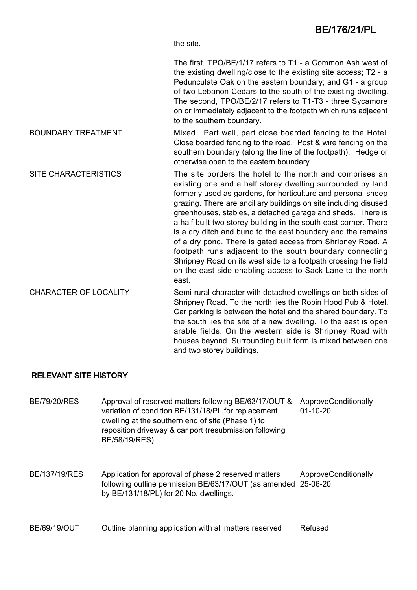the site.

The first, TPO/BE/1/17 refers to T1 - a Common Ash west of the existing dwelling/close to the existing site access; T2 - a Pedunculate Oak on the eastern boundary; and G1 - a group of two Lebanon Cedars to the south of the existing dwelling. The second, TPO/BE/2/17 refers to T1-T3 - three Sycamore on or immediately adjacent to the footpath which runs adjacent to the southern boundary.

- BOUNDARY TREATMENT Mixed. Part wall, part close boarded fencing to the Hotel. Close boarded fencing to the road. Post & wire fencing on the southern boundary (along the line of the footpath). Hedge or otherwise open to the eastern boundary.
- SITE CHARACTERISTICS The site borders the hotel to the north and comprises an existing one and a half storey dwelling surrounded by land formerly used as gardens, for horticulture and personal sheep grazing. There are ancillary buildings on site including disused greenhouses, stables, a detached garage and sheds. There is a half built two storey building in the south east corner. There is a dry ditch and bund to the east boundary and the remains of a dry pond. There is gated access from Shripney Road. A footpath runs adjacent to the south boundary connecting Shripney Road on its west side to a footpath crossing the field on the east side enabling access to Sack Lane to the north east.
- CHARACTER OF LOCALITY Semi-rural character with detached dwellings on both sides of Shripney Road. To the north lies the Robin Hood Pub & Hotel. Car parking is between the hotel and the shared boundary. To the south lies the site of a new dwelling. To the east is open arable fields. On the western side is Shripney Road with houses beyond. Surrounding built form is mixed between one and two storey buildings.

#### RELEVANT SITE HISTORY

BE/79/20/RES Approval of reserved matters following BE/63/17/OUT & ApproveConditionally variation of condition BE/131/18/PL for replacement dwelling at the southern end of site (Phase 1) to reposition driveway & car port (resubmission following BE/58/19/RES). 01-10-20 BE/137/19/RES Application for approval of phase 2 reserved matters following outline permission BE/63/17/OUT (as amended 25-06-20 by BE/131/18/PL) for 20 No. dwellings. ApproveConditionally

#### BE/69/19/OUT Outline planning application with all matters reserved Refused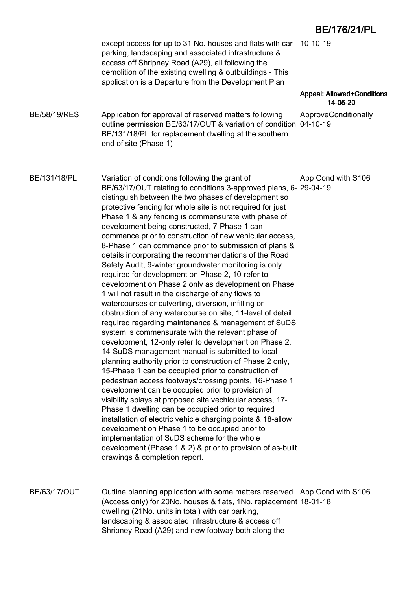|                     | except access for up to 31 No. houses and flats with car 10-10-19<br>parking, landscaping and associated infrastructure &<br>access off Shripney Road (A29), all following the<br>demolition of the existing dwelling & outbuildings - This<br>application is a Departure from the Development Plan                                                                                                                                                                                                                                                                                                                                                                                                                                                                                                                                                                                                                                                                                                                                                                                                                                                                                                                                                                                                                                                                                                                                                                                                                                                                                                                                                                                                                       |                                               |
|---------------------|---------------------------------------------------------------------------------------------------------------------------------------------------------------------------------------------------------------------------------------------------------------------------------------------------------------------------------------------------------------------------------------------------------------------------------------------------------------------------------------------------------------------------------------------------------------------------------------------------------------------------------------------------------------------------------------------------------------------------------------------------------------------------------------------------------------------------------------------------------------------------------------------------------------------------------------------------------------------------------------------------------------------------------------------------------------------------------------------------------------------------------------------------------------------------------------------------------------------------------------------------------------------------------------------------------------------------------------------------------------------------------------------------------------------------------------------------------------------------------------------------------------------------------------------------------------------------------------------------------------------------------------------------------------------------------------------------------------------------|-----------------------------------------------|
|                     |                                                                                                                                                                                                                                                                                                                                                                                                                                                                                                                                                                                                                                                                                                                                                                                                                                                                                                                                                                                                                                                                                                                                                                                                                                                                                                                                                                                                                                                                                                                                                                                                                                                                                                                           | <b>Appeal: Allowed+Conditions</b><br>14-05-20 |
| <b>BE/58/19/RES</b> | Application for approval of reserved matters following<br>outline permission BE/63/17/OUT & variation of condition 04-10-19<br>BE/131/18/PL for replacement dwelling at the southern<br>end of site (Phase 1)                                                                                                                                                                                                                                                                                                                                                                                                                                                                                                                                                                                                                                                                                                                                                                                                                                                                                                                                                                                                                                                                                                                                                                                                                                                                                                                                                                                                                                                                                                             | ApproveConditionally                          |
| BE/131/18/PL        | Variation of conditions following the grant of<br>BE/63/17/OUT relating to conditions 3-approved plans, 6- 29-04-19<br>distinguish between the two phases of development so<br>protective fencing for whole site is not required for just<br>Phase 1 & any fencing is commensurate with phase of<br>development being constructed, 7-Phase 1 can<br>commence prior to construction of new vehicular access,<br>8-Phase 1 can commence prior to submission of plans &<br>details incorporating the recommendations of the Road<br>Safety Audit, 9-winter groundwater monitoring is only<br>required for development on Phase 2, 10-refer to<br>development on Phase 2 only as development on Phase<br>1 will not result in the discharge of any flows to<br>watercourses or culverting, diversion, infilling or<br>obstruction of any watercourse on site, 11-level of detail<br>required regarding maintenance & management of SuDS<br>system is commensurate with the relevant phase of<br>development, 12-only refer to development on Phase 2,<br>14-SuDS management manual is submitted to local<br>planning authority prior to construction of Phase 2 only,<br>15-Phase 1 can be occupied prior to construction of<br>pedestrian access footways/crossing points, 16-Phase 1<br>development can be occupied prior to provision of<br>visibility splays at proposed site vechicular access, 17-<br>Phase 1 dwelling can be occupied prior to required<br>installation of electric vehicle charging points & 18-allow<br>development on Phase 1 to be occupied prior to<br>implementation of SuDS scheme for the whole<br>development (Phase 1 & 2) & prior to provision of as-built<br>drawings & completion report. | App Cond with S106                            |
| <b>BE/63/17/OUT</b> | Outline planning application with some matters reserved App Cond with S106<br>(Access only) for 20No. houses & flats, 1No. replacement 18-01-18<br>dwelling (21No. units in total) with car parking,<br>landscaping & associated infrastructure & access off                                                                                                                                                                                                                                                                                                                                                                                                                                                                                                                                                                                                                                                                                                                                                                                                                                                                                                                                                                                                                                                                                                                                                                                                                                                                                                                                                                                                                                                              |                                               |

landscaping & associated infrastructure & access off Shripney Road (A29) and new footway both along the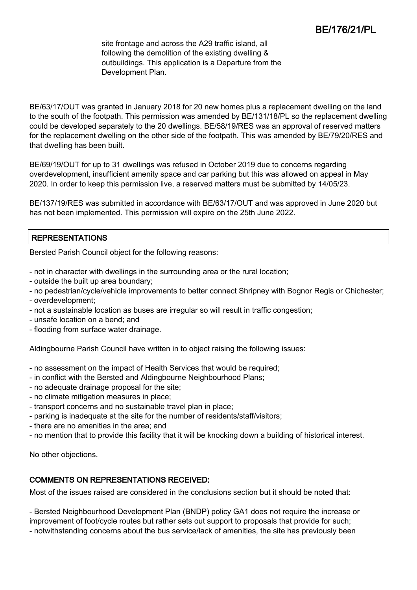site frontage and across the A29 traffic island, all following the demolition of the existing dwelling & outbuildings. This application is a Departure from the Development Plan.

BE/63/17/OUT was granted in January 2018 for 20 new homes plus a replacement dwelling on the land to the south of the footpath. This permission was amended by BE/131/18/PL so the replacement dwelling could be developed separately to the 20 dwellings. BE/58/19/RES was an approval of reserved matters for the replacement dwelling on the other side of the footpath. This was amended by BE/79/20/RES and that dwelling has been built.

BE/69/19/OUT for up to 31 dwellings was refused in October 2019 due to concerns regarding overdevelopment, insufficient amenity space and car parking but this was allowed on appeal in May 2020. In order to keep this permission live, a reserved matters must be submitted by 14/05/23.

BE/137/19/RES was submitted in accordance with BE/63/17/OUT and was approved in June 2020 but has not been implemented. This permission will expire on the 25th June 2022.

# REPRESENTATIONS

Bersted Parish Council object for the following reasons:

- not in character with dwellings in the surrounding area or the rural location;
- outside the built up area boundary;
- no pedestrian/cycle/vehicle improvements to better connect Shripney with Bognor Regis or Chichester;
- overdevelopment;
- not a sustainable location as buses are irregular so will result in traffic congestion;
- unsafe location on a bend; and
- flooding from surface water drainage.

Aldingbourne Parish Council have written in to object raising the following issues:

- no assessment on the impact of Health Services that would be required;
- in conflict with the Bersted and Aldingbourne Neighbourhood Plans;
- no adequate drainage proposal for the site;
- no climate mitigation measures in place;
- transport concerns and no sustainable travel plan in place;
- parking is inadequate at the site for the number of residents/staff/visitors;
- there are no amenities in the area; and
- no mention that to provide this facility that it will be knocking down a building of historical interest.

No other objections.

# COMMENTS ON REPRESENTATIONS RECEIVED:

Most of the issues raised are considered in the conclusions section but it should be noted that:

- Bersted Neighbourhood Development Plan (BNDP) policy GA1 does not require the increase or improvement of foot/cycle routes but rather sets out support to proposals that provide for such;

- notwithstanding concerns about the bus service/lack of amenities, the site has previously been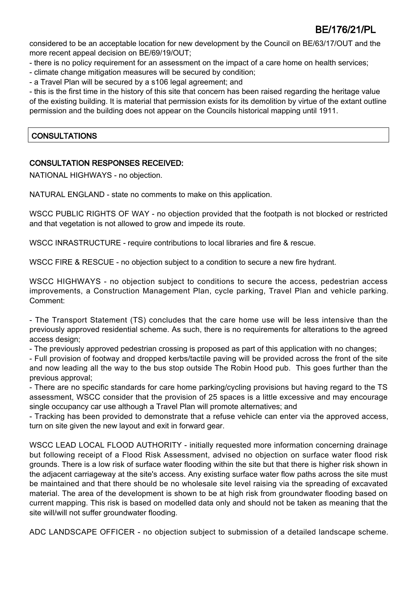considered to be an acceptable location for new development by the Council on BE/63/17/OUT and the more recent appeal decision on BE/69/19/OUT;

- there is no policy requirement for an assessment on the impact of a care home on health services;
- climate change mitigation measures will be secured by condition;
- a Travel Plan will be secured by a s106 legal agreement; and

- this is the first time in the history of this site that concern has been raised regarding the heritage value of the existing building. It is material that permission exists for its demolition by virtue of the extant outline permission and the building does not appear on the Councils historical mapping until 1911.

# **CONSULTATIONS**

# CONSULTATION RESPONSES RECEIVED:

NATIONAL HIGHWAYS - no objection.

NATURAL ENGLAND - state no comments to make on this application.

WSCC PUBLIC RIGHTS OF WAY - no objection provided that the footpath is not blocked or restricted and that vegetation is not allowed to grow and impede its route.

WSCC INRASTRUCTURE - require contributions to local libraries and fire & rescue.

WSCC FIRE & RESCUE - no objection subject to a condition to secure a new fire hydrant.

WSCC HIGHWAYS - no objection subject to conditions to secure the access, pedestrian access improvements, a Construction Management Plan, cycle parking, Travel Plan and vehicle parking. Comment:

- The Transport Statement (TS) concludes that the care home use will be less intensive than the previously approved residential scheme. As such, there is no requirements for alterations to the agreed access design;

- The previously approved pedestrian crossing is proposed as part of this application with no changes;

- Full provision of footway and dropped kerbs/tactile paving will be provided across the front of the site and now leading all the way to the bus stop outside The Robin Hood pub. This goes further than the previous approval;

- There are no specific standards for care home parking/cycling provisions but having regard to the TS assessment, WSCC consider that the provision of 25 spaces is a little excessive and may encourage single occupancy car use although a Travel Plan will promote alternatives; and

- Tracking has been provided to demonstrate that a refuse vehicle can enter via the approved access, turn on site given the new layout and exit in forward gear.

WSCC LEAD LOCAL FLOOD AUTHORITY - initially requested more information concerning drainage but following receipt of a Flood Risk Assessment, advised no objection on surface water flood risk grounds. There is a low risk of surface water flooding within the site but that there is higher risk shown in the adjacent carriageway at the site's access. Any existing surface water flow paths across the site must be maintained and that there should be no wholesale site level raising via the spreading of excavated material. The area of the development is shown to be at high risk from groundwater flooding based on current mapping. This risk is based on modelled data only and should not be taken as meaning that the site will/will not suffer groundwater flooding.

ADC LANDSCAPE OFFICER - no objection subject to submission of a detailed landscape scheme.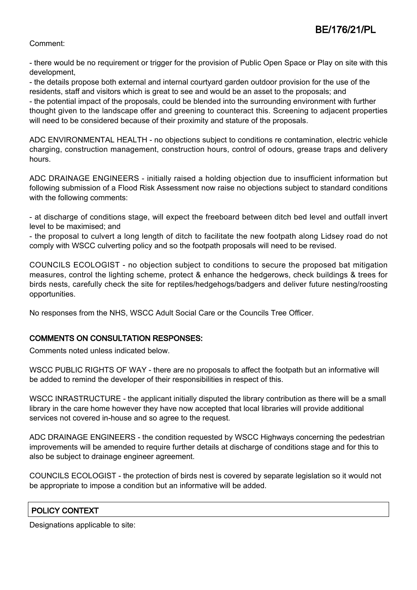#### Comment:

- there would be no requirement or trigger for the provision of Public Open Space or Play on site with this development,

- the details propose both external and internal courtyard garden outdoor provision for the use of the residents, staff and visitors which is great to see and would be an asset to the proposals; and - the potential impact of the proposals, could be blended into the surrounding environment with further thought given to the landscape offer and greening to counteract this. Screening to adjacent properties will need to be considered because of their proximity and stature of the proposals.

ADC ENVIRONMENTAL HEALTH - no objections subject to conditions re contamination, electric vehicle charging, construction management, construction hours, control of odours, grease traps and delivery hours.

ADC DRAINAGE ENGINEERS - initially raised a holding objection due to insufficient information but following submission of a Flood Risk Assessment now raise no objections subject to standard conditions with the following comments:

- at discharge of conditions stage, will expect the freeboard between ditch bed level and outfall invert level to be maximised; and

- the proposal to culvert a long length of ditch to facilitate the new footpath along Lidsey road do not comply with WSCC culverting policy and so the footpath proposals will need to be revised.

COUNCILS ECOLOGIST - no objection subject to conditions to secure the proposed bat mitigation measures, control the lighting scheme, protect & enhance the hedgerows, check buildings & trees for birds nests, carefully check the site for reptiles/hedgehogs/badgers and deliver future nesting/roosting opportunities.

No responses from the NHS, WSCC Adult Social Care or the Councils Tree Officer.

#### COMMENTS ON CONSULTATION RESPONSES:

Comments noted unless indicated below.

WSCC PUBLIC RIGHTS OF WAY - there are no proposals to affect the footpath but an informative will be added to remind the developer of their responsibilities in respect of this.

WSCC INRASTRUCTURE - the applicant initially disputed the library contribution as there will be a small library in the care home however they have now accepted that local libraries will provide additional services not covered in-house and so agree to the request.

ADC DRAINAGE ENGINEERS - the condition requested by WSCC Highways concerning the pedestrian improvements will be amended to require further details at discharge of conditions stage and for this to also be subject to drainage engineer agreement.

COUNCILS ECOLOGIST - the protection of birds nest is covered by separate legislation so it would not be appropriate to impose a condition but an informative will be added.

# POLICY CONTEXT

Designations applicable to site: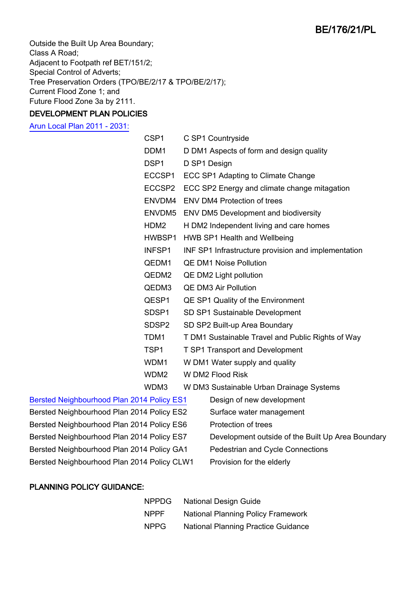Outside the Built Up Area Boundary; Class A Road; Adjacent to Footpath ref BET/151/2; Special Control of Adverts; Tree Preservation Orders (TPO/BE/2/17 & TPO/BE/2/17); Current Flood Zone 1; and Future Flood Zone 3a by 2111.

# DEVELOPMENT PLAN POLICIES

[Arun Local Plan 2011 - 2031:](https://www.arun.gov.uk/adopted-local-plan)

| CSP <sub>1</sub>                                         | C SP1 Countryside                                   |  |
|----------------------------------------------------------|-----------------------------------------------------|--|
| DDM1                                                     | D DM1 Aspects of form and design quality            |  |
| DSP <sub>1</sub>                                         | D SP1 Design                                        |  |
| ECCSP1                                                   | ECC SP1 Adapting to Climate Change                  |  |
| ECCSP2                                                   | ECC SP2 Energy and climate change mitagation        |  |
| ENVDM4                                                   | <b>ENV DM4 Protection of trees</b>                  |  |
| ENVDM5                                                   | <b>ENV DM5 Development and biodiversity</b>         |  |
| HDM <sub>2</sub>                                         | H DM2 Independent living and care homes             |  |
| HWBSP1                                                   | <b>HWB SP1 Health and Wellbeing</b>                 |  |
| INFSP1                                                   | INF SP1 Infrastructure provision and implementation |  |
| QEDM1                                                    | <b>QE DM1 Noise Pollution</b>                       |  |
| QEDM2                                                    | QE DM2 Light pollution                              |  |
| QEDM3                                                    | <b>QE DM3 Air Pollution</b>                         |  |
| QESP1                                                    | QE SP1 Quality of the Environment                   |  |
| SDSP <sub>1</sub>                                        | SD SP1 Sustainable Development                      |  |
| SDSP <sub>2</sub>                                        | SD SP2 Built-up Area Boundary                       |  |
| TDM1                                                     | T DM1 Sustainable Travel and Public Rights of Way   |  |
| TSP <sub>1</sub>                                         | <b>T SP1 Transport and Development</b>              |  |
| WDM1                                                     | W DM1 Water supply and quality                      |  |
| WDM2                                                     | W DM2 Flood Risk                                    |  |
| WDM3                                                     | W DM3 Sustainable Urban Drainage Systems            |  |
| $\lambda$ , Dallan, EO4.<br>Desian of nouvalous property |                                                     |  |

#### [Bersted Neighbourhood Plan 2014 Policy ES1](http://www.arun.gov.uk/neighbourhood-planning) Design of new development

- Bersted Neighbourhood Plan 2014 Policy ES2 Surface water management Bersted Neighbourhood Plan 2014 Policy ES6 Protection of trees Bersted Neighbourhood Plan 2014 Policy GA1 Pedestrian and Cycle Connections Bersted Neighbourhood Plan 2014 Policy CLW1 Provision for the elderly
- -
	-
- Bersted Neighbourhood Plan 2014 Policy ES7 Development outside of the Built Up Area Boundary
	-
	-

# PLANNING POLICY GUIDANCE:

| <b>NPPDG</b> | <b>National Design Guide</b>               |
|--------------|--------------------------------------------|
| <b>NPPF</b>  | <b>National Planning Policy Framework</b>  |
| <b>NPPG</b>  | <b>National Planning Practice Guidance</b> |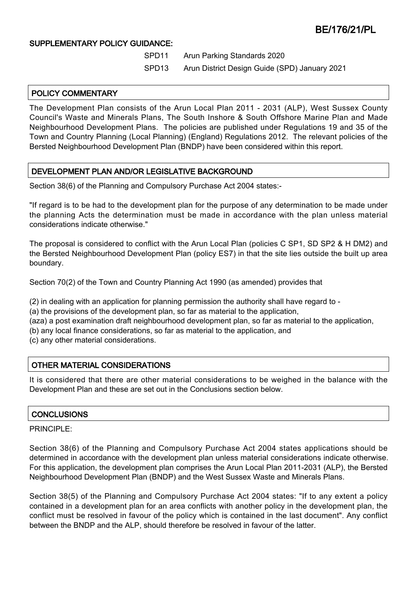### SUPPLEMENTARY POLICY GUIDANCE:

- SPD11 Arun Parking Standards 2020
- SPD13 Arun District Design Guide (SPD) January 2021

# POLICY COMMENTARY

The Development Plan consists of the Arun Local Plan 2011 - 2031 (ALP), West Sussex County Council's Waste and Minerals Plans, The South Inshore & South Offshore Marine Plan and Made Neighbourhood Development Plans. The policies are published under Regulations 19 and 35 of the Town and Country Planning (Local Planning) (England) Regulations 2012. The relevant policies of the Bersted Neighbourhood Development Plan (BNDP) have been considered within this report.

# DEVELOPMENT PLAN AND/OR LEGISLATIVE BACKGROUND

Section 38(6) of the Planning and Compulsory Purchase Act 2004 states:-

"If regard is to be had to the development plan for the purpose of any determination to be made under the planning Acts the determination must be made in accordance with the plan unless material considerations indicate otherwise."

The proposal is considered to conflict with the Arun Local Plan (policies C SP1, SD SP2 & H DM2) and the Bersted Neighbourhood Development Plan (policy ES7) in that the site lies outside the built up area boundary.

Section 70(2) of the Town and Country Planning Act 1990 (as amended) provides that

(2) in dealing with an application for planning permission the authority shall have regard to -

(a) the provisions of the development plan, so far as material to the application,

(aza) a post examination draft neighbourhood development plan, so far as material to the application,

(b) any local finance considerations, so far as material to the application, and

(c) any other material considerations.

# OTHER MATERIAL CONSIDERATIONS

It is considered that there are other material considerations to be weighed in the balance with the Development Plan and these are set out in the Conclusions section below.

#### **CONCLUSIONS**

#### PRINCIPLE:

Section 38(6) of the Planning and Compulsory Purchase Act 2004 states applications should be determined in accordance with the development plan unless material considerations indicate otherwise. For this application, the development plan comprises the Arun Local Plan 2011-2031 (ALP), the Bersted Neighbourhood Development Plan (BNDP) and the West Sussex Waste and Minerals Plans.

Section 38(5) of the Planning and Compulsory Purchase Act 2004 states: "If to any extent a policy contained in a development plan for an area conflicts with another policy in the development plan, the conflict must be resolved in favour of the policy which is contained in the last document". Any conflict between the BNDP and the ALP, should therefore be resolved in favour of the latter.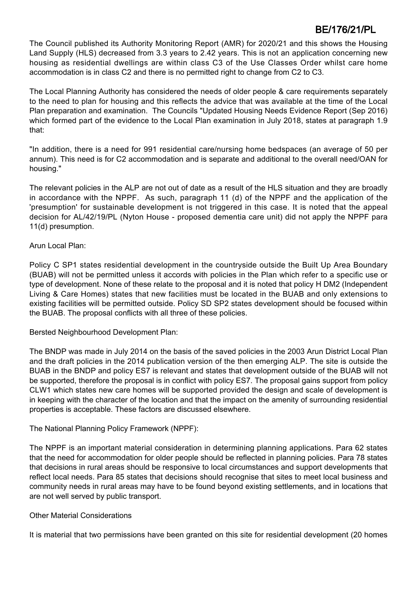The Council published its Authority Monitoring Report (AMR) for 2020/21 and this shows the Housing Land Supply (HLS) decreased from 3.3 years to 2.42 years. This is not an application concerning new housing as residential dwellings are within class C3 of the Use Classes Order whilst care home accommodation is in class C2 and there is no permitted right to change from C2 to C3.

The Local Planning Authority has considered the needs of older people & care requirements separately to the need to plan for housing and this reflects the advice that was available at the time of the Local Plan preparation and examination. The Councils "Updated Housing Needs Evidence Report (Sep 2016) which formed part of the evidence to the Local Plan examination in July 2018, states at paragraph 1.9 that:

"In addition, there is a need for 991 residential care/nursing home bedspaces (an average of 50 per annum). This need is for C2 accommodation and is separate and additional to the overall need/OAN for housing."

The relevant policies in the ALP are not out of date as a result of the HLS situation and they are broadly in accordance with the NPPF. As such, paragraph 11 (d) of the NPPF and the application of the 'presumption' for sustainable development is not triggered in this case. It is noted that the appeal decision for AL/42/19/PL (Nyton House - proposed dementia care unit) did not apply the NPPF para 11(d) presumption.

### Arun Local Plan:

Policy C SP1 states residential development in the countryside outside the Built Up Area Boundary (BUAB) will not be permitted unless it accords with policies in the Plan which refer to a specific use or type of development. None of these relate to the proposal and it is noted that policy H DM2 (Independent Living & Care Homes) states that new facilities must be located in the BUAB and only extensions to existing facilities will be permitted outside. Policy SD SP2 states development should be focused within the BUAB. The proposal conflicts with all three of these policies.

Bersted Neighbourhood Development Plan:

The BNDP was made in July 2014 on the basis of the saved policies in the 2003 Arun District Local Plan and the draft policies in the 2014 publication version of the then emerging ALP. The site is outside the BUAB in the BNDP and policy ES7 is relevant and states that development outside of the BUAB will not be supported, therefore the proposal is in conflict with policy ES7. The proposal gains support from policy CLW1 which states new care homes will be supported provided the design and scale of development is in keeping with the character of the location and that the impact on the amenity of surrounding residential properties is acceptable. These factors are discussed elsewhere.

# The National Planning Policy Framework (NPPF):

The NPPF is an important material consideration in determining planning applications. Para 62 states that the need for accommodation for older people should be reflected in planning policies. Para 78 states that decisions in rural areas should be responsive to local circumstances and support developments that reflect local needs. Para 85 states that decisions should recognise that sites to meet local business and community needs in rural areas may have to be found beyond existing settlements, and in locations that are not well served by public transport.

#### Other Material Considerations

It is material that two permissions have been granted on this site for residential development (20 homes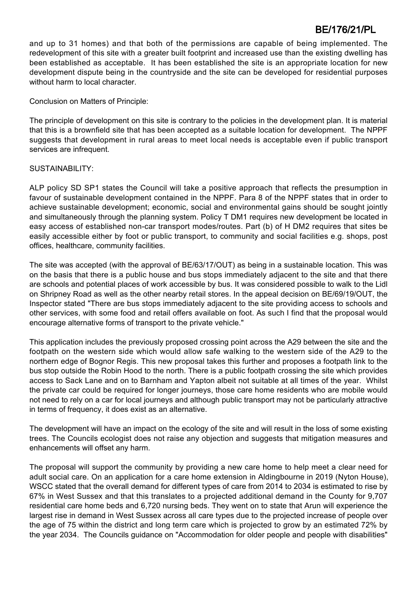and up to 31 homes) and that both of the permissions are capable of being implemented. The redevelopment of this site with a greater built footprint and increased use than the existing dwelling has been established as acceptable. It has been established the site is an appropriate location for new development dispute being in the countryside and the site can be developed for residential purposes without harm to local character.

Conclusion on Matters of Principle:

The principle of development on this site is contrary to the policies in the development plan. It is material that this is a brownfield site that has been accepted as a suitable location for development. The NPPF suggests that development in rural areas to meet local needs is acceptable even if public transport services are infrequent.

#### SUSTAINABILITY:

ALP policy SD SP1 states the Council will take a positive approach that reflects the presumption in favour of sustainable development contained in the NPPF. Para 8 of the NPPF states that in order to achieve sustainable development; economic, social and environmental gains should be sought jointly and simultaneously through the planning system. Policy T DM1 requires new development be located in easy access of established non-car transport modes/routes. Part (b) of H DM2 requires that sites be easily accessible either by foot or public transport, to community and social facilities e.g. shops, post offices, healthcare, community facilities.

The site was accepted (with the approval of BE/63/17/OUT) as being in a sustainable location. This was on the basis that there is a public house and bus stops immediately adjacent to the site and that there are schools and potential places of work accessible by bus. It was considered possible to walk to the Lidl on Shripney Road as well as the other nearby retail stores. In the appeal decision on BE/69/19/OUT, the Inspector stated "There are bus stops immediately adjacent to the site providing access to schools and other services, with some food and retail offers available on foot. As such I find that the proposal would encourage alternative forms of transport to the private vehicle."

This application includes the previously proposed crossing point across the A29 between the site and the footpath on the western side which would allow safe walking to the western side of the A29 to the northern edge of Bognor Regis. This new proposal takes this further and proposes a footpath link to the bus stop outside the Robin Hood to the north. There is a public footpath crossing the site which provides access to Sack Lane and on to Barnham and Yapton albeit not suitable at all times of the year. Whilst the private car could be required for longer journeys, those care home residents who are mobile would not need to rely on a car for local journeys and although public transport may not be particularly attractive in terms of frequency, it does exist as an alternative.

The development will have an impact on the ecology of the site and will result in the loss of some existing trees. The Councils ecologist does not raise any objection and suggests that mitigation measures and enhancements will offset any harm.

The proposal will support the community by providing a new care home to help meet a clear need for adult social care. On an application for a care home extension in Aldingbourne in 2019 (Nyton House), WSCC stated that the overall demand for different types of care from 2014 to 2034 is estimated to rise by 67% in West Sussex and that this translates to a projected additional demand in the County for 9,707 residential care home beds and 6,720 nursing beds. They went on to state that Arun will experience the largest rise in demand in West Sussex across all care types due to the projected increase of people over the age of 75 within the district and long term care which is projected to grow by an estimated 72% by the year 2034. The Councils guidance on "Accommodation for older people and people with disabilities"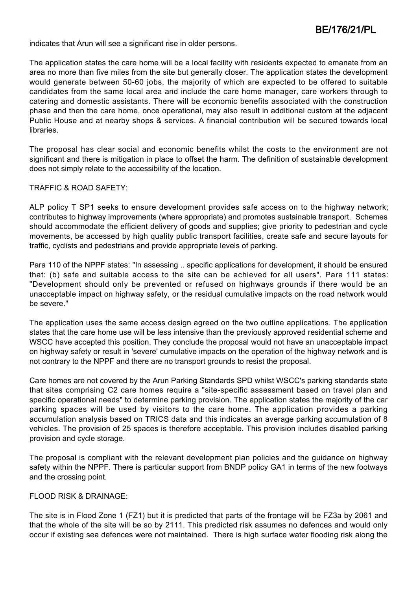indicates that Arun will see a significant rise in older persons.

The application states the care home will be a local facility with residents expected to emanate from an area no more than five miles from the site but generally closer. The application states the development would generate between 50-60 jobs, the majority of which are expected to be offered to suitable candidates from the same local area and include the care home manager, care workers through to catering and domestic assistants. There will be economic benefits associated with the construction phase and then the care home, once operational, may also result in additional custom at the adjacent Public House and at nearby shops & services. A financial contribution will be secured towards local libraries.

The proposal has clear social and economic benefits whilst the costs to the environment are not significant and there is mitigation in place to offset the harm. The definition of sustainable development does not simply relate to the accessibility of the location.

#### TRAFFIC & ROAD SAFETY:

ALP policy T SP1 seeks to ensure development provides safe access on to the highway network; contributes to highway improvements (where appropriate) and promotes sustainable transport. Schemes should accommodate the efficient delivery of goods and supplies; give priority to pedestrian and cycle movements, be accessed by high quality public transport facilities, create safe and secure layouts for traffic, cyclists and pedestrians and provide appropriate levels of parking.

Para 110 of the NPPF states: "In assessing .. specific applications for development, it should be ensured that: (b) safe and suitable access to the site can be achieved for all users". Para 111 states: "Development should only be prevented or refused on highways grounds if there would be an unacceptable impact on highway safety, or the residual cumulative impacts on the road network would be severe."

The application uses the same access design agreed on the two outline applications. The application states that the care home use will be less intensive than the previously approved residential scheme and WSCC have accepted this position. They conclude the proposal would not have an unacceptable impact on highway safety or result in 'severe' cumulative impacts on the operation of the highway network and is not contrary to the NPPF and there are no transport grounds to resist the proposal.

Care homes are not covered by the Arun Parking Standards SPD whilst WSCC's parking standards state that sites comprising C2 care homes require a "site-specific assessment based on travel plan and specific operational needs" to determine parking provision. The application states the majority of the car parking spaces will be used by visitors to the care home. The application provides a parking accumulation analysis based on TRICS data and this indicates an average parking accumulation of 8 vehicles. The provision of 25 spaces is therefore acceptable. This provision includes disabled parking provision and cycle storage.

The proposal is compliant with the relevant development plan policies and the guidance on highway safety within the NPPF. There is particular support from BNDP policy GA1 in terms of the new footways and the crossing point.

#### FLOOD RISK & DRAINAGE:

The site is in Flood Zone 1 (FZ1) but it is predicted that parts of the frontage will be FZ3a by 2061 and that the whole of the site will be so by 2111. This predicted risk assumes no defences and would only occur if existing sea defences were not maintained. There is high surface water flooding risk along the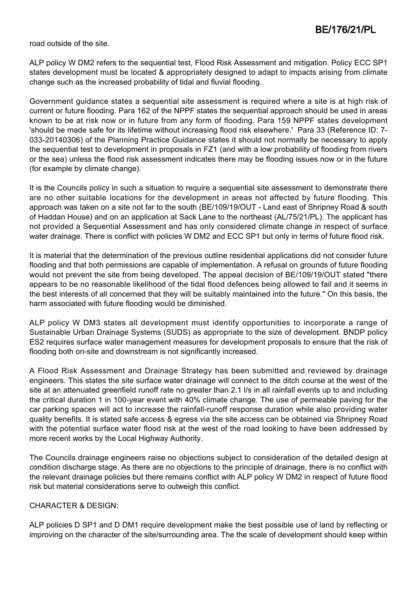road outside of the site.

ALP policy W DM2 refers to the sequential test, Flood Risk Assessment and mitigation. Policy ECC SP1 states development must be located & appropriately designed to adapt to impacts arising from climate change such as the increased probability of tidal and fluvial flooding.

Government guidance states a sequential site assessment is required where a site is at high risk of current or future flooding. Para 162 of the NPPF states the sequential approach should be used in areas known to be at risk now or in future from any form of flooding. Para 159 NPPF states development 'should be made safe for its lifetime without increasing flood risk elsewhere.' Para 33 (Reference ID: 7- 033-20140306) of the Planning Practice Guidance states it should not normally be necessary to apply the sequential test to development in proposals in FZ1 (and with a low probability of flooding from rivers or the sea) unless the flood risk assessment indicates there may be flooding issues now or in the future (for example by climate change).

It is the Councils policy in such a situation to require a sequential site assessment to demonstrate there are no other suitable locations for the development in areas not affected by future flooding. This approach was taken on a site not far to the south (BE/109/19/OUT - Land east of Shripney Road & south of Haddan House) and on an application at Sack Lane to the northeast (AL/75/21/PL). The applicant has not provided a Sequential Assessment and has only considered climate change in respect of surface water drainage. There is conflict with policies W DM2 and ECC SP1 but only in terms of future flood risk.

It is material that the determination of the previous outline residential applications did not consider future flooding and that both permissions are capable of implementation. A refusal on grounds of future flooding would not prevent the site from being developed. The appeal decision of BE/109/19/OUT stated "there appears to be no reasonable likelihood of the tidal flood defences being allowed to fail and it seems in the best interests of all concerned that they will be suitably maintained into the future." On this basis, the harm associated with future flooding would be diminished.

ALP policy W DM3 states all development must identify opportunities to incorporate a range of Sustainable Urban Drainage Systems (SUDS) as appropriate to the size of development. BNDP policy ES2 requires surface water management measures for development proposals to ensure that the risk of flooding both on-site and downstream is not significantly increased.

A Flood Risk Assessment and Drainage Strategy has been submitted and reviewed by drainage engineers. This states the site surface water drainage will connect to the ditch course at the west of the site at an attenuated greenfield runoff rate no greater than 2.1 l/s in all rainfall events up to and including the critical duration 1 in 100-year event with 40% climate change. The use of permeable paving for the car parking spaces will act to increase the rainfall-runoff response duration while also providing water quality benefits. It is stated safe access & egress via the site access can be obtained via Shripney Road with the potential surface water flood risk at the west of the road looking to have been addressed by more recent works by the Local Highway Authority.

The Councils drainage engineers raise no objections subject to consideration of the detailed design at condition discharge stage. As there are no objections to the principle of drainage, there is no conflict with the relevant drainage policies but there remains conflict with ALP policy W DM2 in respect of future flood risk but material considerations serve to outweigh this conflict.

#### CHARACTER & DESIGN:

ALP policies D SP1 and D DM1 require development make the best possible use of land by reflecting or improving on the character of the site/surrounding area. The the scale of development should keep within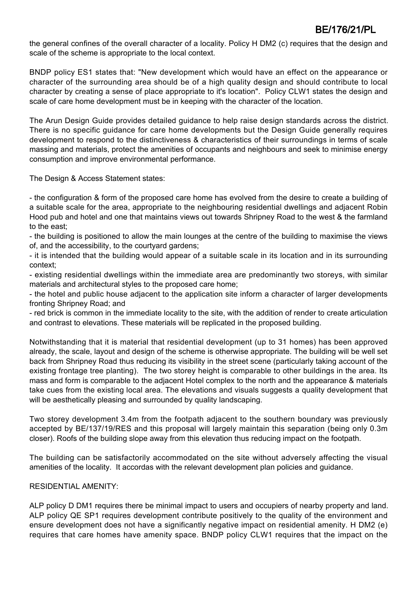the general confines of the overall character of a locality. Policy H DM2 (c) requires that the design and scale of the scheme is appropriate to the local context.

BNDP policy ES1 states that: "New development which would have an effect on the appearance or character of the surrounding area should be of a high quality design and should contribute to local character by creating a sense of place appropriate to it's location". Policy CLW1 states the design and scale of care home development must be in keeping with the character of the location.

The Arun Design Guide provides detailed guidance to help raise design standards across the district. There is no specific guidance for care home developments but the Design Guide generally requires development to respond to the distinctiveness & characteristics of their surroundings in terms of scale massing and materials, protect the amenities of occupants and neighbours and seek to minimise energy consumption and improve environmental performance.

The Design & Access Statement states:

- the configuration & form of the proposed care home has evolved from the desire to create a building of a suitable scale for the area, appropriate to the neighbouring residential dwellings and adjacent Robin Hood pub and hotel and one that maintains views out towards Shripney Road to the west & the farmland to the east;

- the building is positioned to allow the main lounges at the centre of the building to maximise the views of, and the accessibility, to the courtyard gardens;

- it is intended that the building would appear of a suitable scale in its location and in its surrounding context;

- existing residential dwellings within the immediate area are predominantly two storeys, with similar materials and architectural styles to the proposed care home;

- the hotel and public house adjacent to the application site inform a character of larger developments fronting Shripney Road; and

- red brick is common in the immediate locality to the site, with the addition of render to create articulation and contrast to elevations. These materials will be replicated in the proposed building.

Notwithstanding that it is material that residential development (up to 31 homes) has been approved already, the scale, layout and design of the scheme is otherwise appropriate. The building will be well set back from Shripney Road thus reducing its visibility in the street scene (particularly taking account of the existing frontage tree planting). The two storey height is comparable to other buildings in the area. Its mass and form is comparable to the adjacent Hotel complex to the north and the appearance & materials take cues from the existing local area. The elevations and visuals suggests a quality development that will be aesthetically pleasing and surrounded by quality landscaping.

Two storey development 3.4m from the footpath adjacent to the southern boundary was previously accepted by BE/137/19/RES and this proposal will largely maintain this separation (being only 0.3m closer). Roofs of the building slope away from this elevation thus reducing impact on the footpath.

The building can be satisfactorily accommodated on the site without adversely affecting the visual amenities of the locality. It accordas with the relevant development plan policies and guidance.

#### RESIDENTIAL AMENITY:

ALP policy D DM1 requires there be minimal impact to users and occupiers of nearby property and land. ALP policy QE SP1 requires development contribute positively to the quality of the environment and ensure development does not have a significantly negative impact on residential amenity. H DM2 (e) requires that care homes have amenity space. BNDP policy CLW1 requires that the impact on the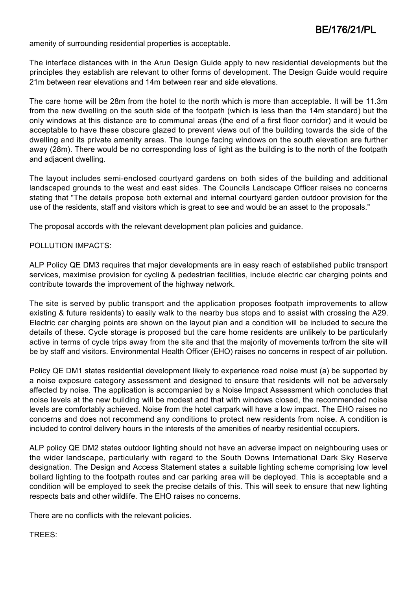amenity of surrounding residential properties is acceptable.

The interface distances with in the Arun Design Guide apply to new residential developments but the principles they establish are relevant to other forms of development. The Design Guide would require 21m between rear elevations and 14m between rear and side elevations.

The care home will be 28m from the hotel to the north which is more than acceptable. It will be 11.3m from the new dwelling on the south side of the footpath (which is less than the 14m standard) but the only windows at this distance are to communal areas (the end of a first floor corridor) and it would be acceptable to have these obscure glazed to prevent views out of the building towards the side of the dwelling and its private amenity areas. The lounge facing windows on the south elevation are further away (28m). There would be no corresponding loss of light as the building is to the north of the footpath and adjacent dwelling.

The layout includes semi-enclosed courtyard gardens on both sides of the building and additional landscaped grounds to the west and east sides. The Councils Landscape Officer raises no concerns stating that "The details propose both external and internal courtyard garden outdoor provision for the use of the residents, staff and visitors which is great to see and would be an asset to the proposals."

The proposal accords with the relevant development plan policies and guidance.

#### POLLUTION IMPACTS:

ALP Policy QE DM3 requires that major developments are in easy reach of established public transport services, maximise provision for cycling & pedestrian facilities, include electric car charging points and contribute towards the improvement of the highway network.

The site is served by public transport and the application proposes footpath improvements to allow existing & future residents) to easily walk to the nearby bus stops and to assist with crossing the A29. Electric car charging points are shown on the layout plan and a condition will be included to secure the details of these. Cycle storage is proposed but the care home residents are unlikely to be particularly active in terms of cycle trips away from the site and that the majority of movements to/from the site will be by staff and visitors. Environmental Health Officer (EHO) raises no concerns in respect of air pollution.

Policy QE DM1 states residential development likely to experience road noise must (a) be supported by a noise exposure category assessment and designed to ensure that residents will not be adversely affected by noise. The application is accompanied by a Noise Impact Assessment which concludes that noise levels at the new building will be modest and that with windows closed, the recommended noise levels are comfortably achieved. Noise from the hotel carpark will have a low impact. The EHO raises no concerns and does not recommend any conditions to protect new residents from noise. A condition is included to control delivery hours in the interests of the amenities of nearby residential occupiers.

ALP policy QE DM2 states outdoor lighting should not have an adverse impact on neighbouring uses or the wider landscape, particularly with regard to the South Downs International Dark Sky Reserve designation. The Design and Access Statement states a suitable lighting scheme comprising low level bollard lighting to the footpath routes and car parking area will be deployed. This is acceptable and a condition will be employed to seek the precise details of this. This will seek to ensure that new lighting respects bats and other wildlife. The EHO raises no concerns.

There are no conflicts with the relevant policies.

TREES: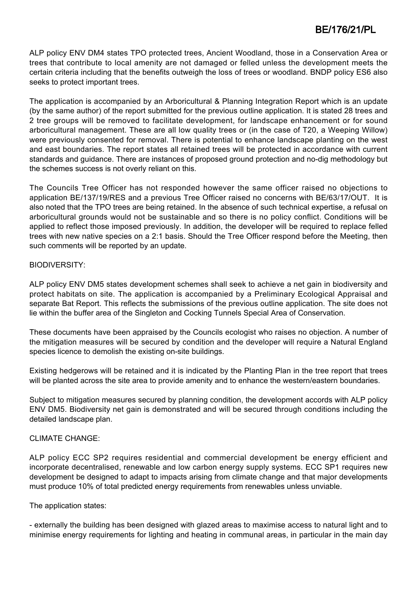ALP policy ENV DM4 states TPO protected trees, Ancient Woodland, those in a Conservation Area or trees that contribute to local amenity are not damaged or felled unless the development meets the certain criteria including that the benefits outweigh the loss of trees or woodland. BNDP policy ES6 also seeks to protect important trees.

The application is accompanied by an Arboricultural & Planning Integration Report which is an update (by the same author) of the report submitted for the previous outline application. It is stated 28 trees and 2 tree groups will be removed to facilitate development, for landscape enhancement or for sound arboricultural management. These are all low quality trees or (in the case of T20, a Weeping Willow) were previously consented for removal. There is potential to enhance landscape planting on the west and east boundaries. The report states all retained trees will be protected in accordance with current standards and guidance. There are instances of proposed ground protection and no-dig methodology but the schemes success is not overly reliant on this.

The Councils Tree Officer has not responded however the same officer raised no objections to application BE/137/19/RES and a previous Tree Officer raised no concerns with BE/63/17/OUT. It is also noted that the TPO trees are being retained. In the absence of such technical expertise, a refusal on arboricultural grounds would not be sustainable and so there is no policy conflict. Conditions will be applied to reflect those imposed previously. In addition, the developer will be required to replace felled trees with new native species on a 2:1 basis. Should the Tree Officer respond before the Meeting, then such comments will be reported by an update.

### BIODIVERSITY:

ALP policy ENV DM5 states development schemes shall seek to achieve a net gain in biodiversity and protect habitats on site. The application is accompanied by a Preliminary Ecological Appraisal and separate Bat Report. This reflects the submissions of the previous outline application. The site does not lie within the buffer area of the Singleton and Cocking Tunnels Special Area of Conservation.

These documents have been appraised by the Councils ecologist who raises no objection. A number of the mitigation measures will be secured by condition and the developer will require a Natural England species licence to demolish the existing on-site buildings.

Existing hedgerows will be retained and it is indicated by the Planting Plan in the tree report that trees will be planted across the site area to provide amenity and to enhance the western/eastern boundaries.

Subject to mitigation measures secured by planning condition, the development accords with ALP policy ENV DM5. Biodiversity net gain is demonstrated and will be secured through conditions including the detailed landscape plan.

# CLIMATE CHANGE:

ALP policy ECC SP2 requires residential and commercial development be energy efficient and incorporate decentralised, renewable and low carbon energy supply systems. ECC SP1 requires new development be designed to adapt to impacts arising from climate change and that major developments must produce 10% of total predicted energy requirements from renewables unless unviable.

The application states:

- externally the building has been designed with glazed areas to maximise access to natural light and to minimise energy requirements for lighting and heating in communal areas, in particular in the main day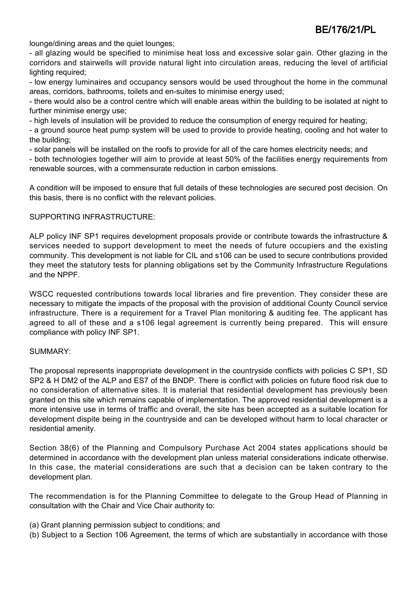lounge/dining areas and the quiet lounges;

- all glazing would be specified to minimise heat loss and excessive solar gain. Other glazing in the corridors and stairwells will provide natural light into circulation areas, reducing the level of artificial lighting required;

- low energy luminaires and occupancy sensors would be used throughout the home in the communal areas, corridors, bathrooms, toilets and en-suites to minimise energy used;

- there would also be a control centre which will enable areas within the building to be isolated at night to further minimise energy use;

- high levels of insulation will be provided to reduce the consumption of energy required for heating;

- a ground source heat pump system will be used to provide to provide heating, cooling and hot water to the building;

- solar panels will be installed on the roofs to provide for all of the care homes electricity needs; and

- both technologies together will aim to provide at least 50% of the facilities energy requirements from renewable sources, with a commensurate reduction in carbon emissions.

A condition will be imposed to ensure that full details of these technologies are secured post decision. On this basis, there is no conflict with the relevant policies.

#### SUPPORTING INFRASTRUCTURE:

ALP policy INF SP1 requires development proposals provide or contribute towards the infrastructure & services needed to support development to meet the needs of future occupiers and the existing community. This development is not liable for CIL and s106 can be used to secure contributions provided they meet the statutory tests for planning obligations set by the Community Infrastructure Regulations and the NPPF.

WSCC requested contributions towards local libraries and fire prevention. They consider these are necessary to mitigate the impacts of the proposal with the provision of additional County Council service infrastructure. There is a requirement for a Travel Plan monitoring & auditing fee. The applicant has agreed to all of these and a s106 legal agreement is currently being prepared. This will ensure compliance with policy INF SP1.

#### SUMMARY:

The proposal represents inappropriate development in the countryside conflicts with policies C SP1, SD SP2 & H DM2 of the ALP and ES7 of the BNDP. There is conflict with policies on future flood risk due to no consideration of alternative sites. It is material that residential development has previously been granted on this site which remains capable of implementation. The approved residential development is a more intensive use in terms of traffic and overall, the site has been accepted as a suitable location for development dispite being in the countryside and can be developed without harm to local character or residential amenity.

Section 38(6) of the Planning and Compulsory Purchase Act 2004 states applications should be determined in accordance with the development plan unless material considerations indicate otherwise. In this case, the material considerations are such that a decision can be taken contrary to the development plan.

The recommendation is for the Planning Committee to delegate to the Group Head of Planning in consultation with the Chair and Vice Chair authority to:

- (a) Grant planning permission subject to conditions; and
- (b) Subject to a Section 106 Agreement, the terms of which are substantially in accordance with those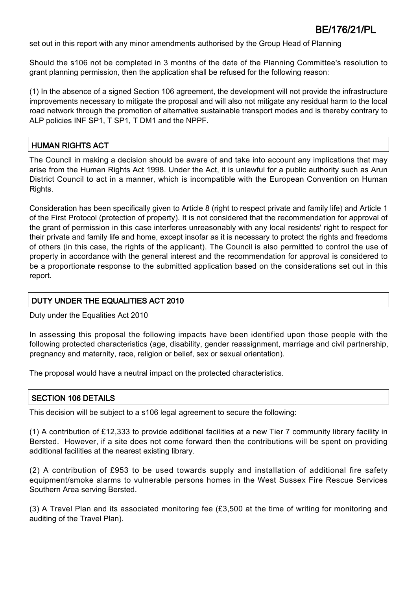set out in this report with any minor amendments authorised by the Group Head of Planning

Should the s106 not be completed in 3 months of the date of the Planning Committee's resolution to grant planning permission, then the application shall be refused for the following reason:

(1) In the absence of a signed Section 106 agreement, the development will not provide the infrastructure improvements necessary to mitigate the proposal and will also not mitigate any residual harm to the local road network through the promotion of alternative sustainable transport modes and is thereby contrary to ALP policies INF SP1, T SP1, T DM1 and the NPPF.

# HUMAN RIGHTS ACT

The Council in making a decision should be aware of and take into account any implications that may arise from the Human Rights Act 1998. Under the Act, it is unlawful for a public authority such as Arun District Council to act in a manner, which is incompatible with the European Convention on Human Rights.

Consideration has been specifically given to Article 8 (right to respect private and family life) and Article 1 of the First Protocol (protection of property). It is not considered that the recommendation for approval of the grant of permission in this case interferes unreasonably with any local residents' right to respect for their private and family life and home, except insofar as it is necessary to protect the rights and freedoms of others (in this case, the rights of the applicant). The Council is also permitted to control the use of property in accordance with the general interest and the recommendation for approval is considered to be a proportionate response to the submitted application based on the considerations set out in this report.

#### DUTY UNDER THE EQUALITIES ACT 2010

Duty under the Equalities Act 2010

In assessing this proposal the following impacts have been identified upon those people with the following protected characteristics (age, disability, gender reassignment, marriage and civil partnership, pregnancy and maternity, race, religion or belief, sex or sexual orientation).

The proposal would have a neutral impact on the protected characteristics.

# SECTION 106 DETAILS

This decision will be subject to a s106 legal agreement to secure the following:

(1) A contribution of £12,333 to provide additional facilities at a new Tier 7 community library facility in Bersted. However, if a site does not come forward then the contributions will be spent on providing additional facilities at the nearest existing library.

(2) A contribution of £953 to be used towards supply and installation of additional fire safety equipment/smoke alarms to vulnerable persons homes in the West Sussex Fire Rescue Services Southern Area serving Bersted.

(3) A Travel Plan and its associated monitoring fee (£3,500 at the time of writing for monitoring and auditing of the Travel Plan).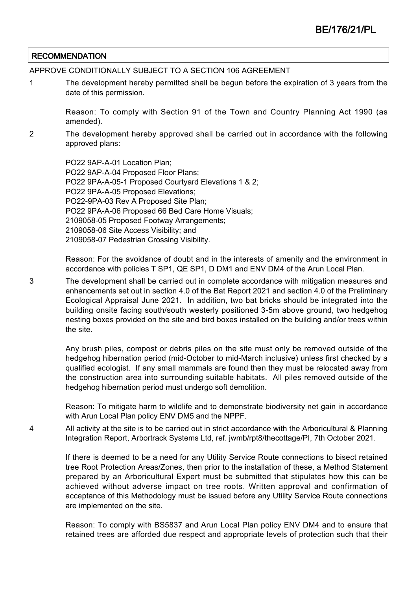### **RECOMMENDATION**

APPROVE CONDITIONALLY SUBJECT TO A SECTION 106 AGREEMENT

1 The development hereby permitted shall be begun before the expiration of 3 years from the date of this permission.

Reason: To comply with Section 91 of the Town and Country Planning Act 1990 (as amended).

2 The development hereby approved shall be carried out in accordance with the following approved plans:

> PO22 9AP-A-01 Location Plan; PO22 9AP-A-04 Proposed Floor Plans; PO22 9PA-A-05-1 Proposed Courtyard Elevations 1 & 2; PO22 9PA-A-05 Proposed Elevations; PO22-9PA-03 Rev A Proposed Site Plan; PO22 9PA-A-06 Proposed 66 Bed Care Home Visuals; 2109058-05 Proposed Footway Arrangements; 2109058-06 Site Access Visibility; and 2109058-07 Pedestrian Crossing Visibility.

Reason: For the avoidance of doubt and in the interests of amenity and the environment in accordance with policies T SP1, QE SP1, D DM1 and ENV DM4 of the Arun Local Plan.

3 The development shall be carried out in complete accordance with mitigation measures and enhancements set out in section 4.0 of the Bat Report 2021 and section 4.0 of the Preliminary Ecological Appraisal June 2021. In addition, two bat bricks should be integrated into the building onsite facing south/south westerly positioned 3-5m above ground, two hedgehog nesting boxes provided on the site and bird boxes installed on the building and/or trees within the site.

Any brush piles, compost or debris piles on the site must only be removed outside of the hedgehog hibernation period (mid-October to mid-March inclusive) unless first checked by a qualified ecologist. If any small mammals are found then they must be relocated away from the construction area into surrounding suitable habitats. All piles removed outside of the hedgehog hibernation period must undergo soft demolition.

Reason: To mitigate harm to wildlife and to demonstrate biodiversity net gain in accordance with Arun Local Plan policy ENV DM5 and the NPPF.

4 All activity at the site is to be carried out in strict accordance with the Arboricultural & Planning Integration Report, Arbortrack Systems Ltd, ref. jwmb/rpt8/thecottage/PI, 7th October 2021.

> If there is deemed to be a need for any Utility Service Route connections to bisect retained tree Root Protection Areas/Zones, then prior to the installation of these, a Method Statement prepared by an Arboricultural Expert must be submitted that stipulates how this can be achieved without adverse impact on tree roots. Written approval and confirmation of acceptance of this Methodology must be issued before any Utility Service Route connections are implemented on the site.

> Reason: To comply with BS5837 and Arun Local Plan policy ENV DM4 and to ensure that retained trees are afforded due respect and appropriate levels of protection such that their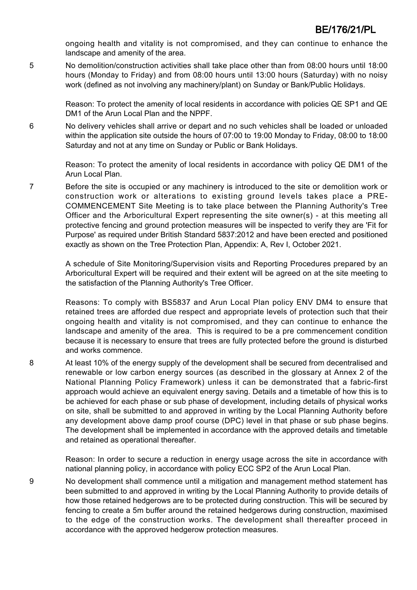ongoing health and vitality is not compromised, and they can continue to enhance the landscape and amenity of the area.

5 No demolition/construction activities shall take place other than from 08:00 hours until 18:00 hours (Monday to Friday) and from 08:00 hours until 13:00 hours (Saturday) with no noisy work (defined as not involving any machinery/plant) on Sunday or Bank/Public Holidays.

> Reason: To protect the amenity of local residents in accordance with policies QE SP1 and QE DM1 of the Arun Local Plan and the NPPF.

6 No delivery vehicles shall arrive or depart and no such vehicles shall be loaded or unloaded within the application site outside the hours of 07:00 to 19:00 Monday to Friday, 08:00 to 18:00 Saturday and not at any time on Sunday or Public or Bank Holidays.

> Reason: To protect the amenity of local residents in accordance with policy QE DM1 of the Arun Local Plan.

7 Before the site is occupied or any machinery is introduced to the site or demolition work or construction work or alterations to existing ground levels takes place a PRE-COMMENCEMENT Site Meeting is to take place between the Planning Authority's Tree Officer and the Arboricultural Expert representing the site owner(s) - at this meeting all protective fencing and ground protection measures will be inspected to verify they are 'Fit for Purpose' as required under British Standard 5837:2012 and have been erected and positioned exactly as shown on the Tree Protection Plan, Appendix: A, Rev I, October 2021.

A schedule of Site Monitoring/Supervision visits and Reporting Procedures prepared by an Arboricultural Expert will be required and their extent will be agreed on at the site meeting to the satisfaction of the Planning Authority's Tree Officer.

Reasons: To comply with BS5837 and Arun Local Plan policy ENV DM4 to ensure that retained trees are afforded due respect and appropriate levels of protection such that their ongoing health and vitality is not compromised, and they can continue to enhance the landscape and amenity of the area. This is required to be a pre commencement condition because it is necessary to ensure that trees are fully protected before the ground is disturbed and works commence.

8 At least 10% of the energy supply of the development shall be secured from decentralised and renewable or low carbon energy sources (as described in the glossary at Annex 2 of the National Planning Policy Framework) unless it can be demonstrated that a fabric-first approach would achieve an equivalent energy saving. Details and a timetable of how this is to be achieved for each phase or sub phase of development, including details of physical works on site, shall be submitted to and approved in writing by the Local Planning Authority before any development above damp proof course (DPC) level in that phase or sub phase begins. The development shall be implemented in accordance with the approved details and timetable and retained as operational thereafter.

> Reason: In order to secure a reduction in energy usage across the site in accordance with national planning policy, in accordance with policy ECC SP2 of the Arun Local Plan.

9 No development shall commence until a mitigation and management method statement has been submitted to and approved in writing by the Local Planning Authority to provide details of how those retained hedgerows are to be protected during construction. This will be secured by fencing to create a 5m buffer around the retained hedgerows during construction, maximised to the edge of the construction works. The development shall thereafter proceed in accordance with the approved hedgerow protection measures.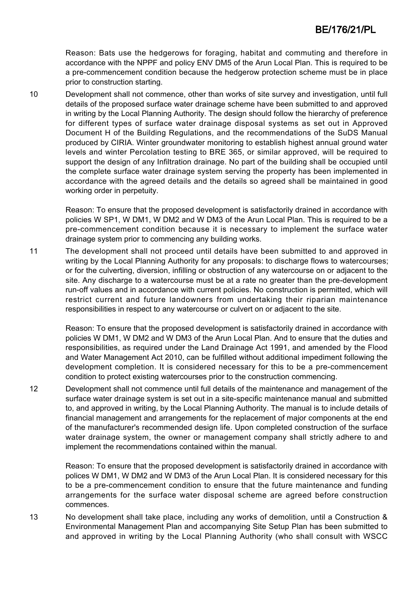Reason: Bats use the hedgerows for foraging, habitat and commuting and therefore in accordance with the NPPF and policy ENV DM5 of the Arun Local Plan. This is required to be a pre-commencement condition because the hedgerow protection scheme must be in place prior to construction starting.

10 Development shall not commence, other than works of site survey and investigation, until full details of the proposed surface water drainage scheme have been submitted to and approved in writing by the Local Planning Authority. The design should follow the hierarchy of preference for different types of surface water drainage disposal systems as set out in Approved Document H of the Building Regulations, and the recommendations of the SuDS Manual produced by CIRIA. Winter groundwater monitoring to establish highest annual ground water levels and winter Percolation testing to BRE 365, or similar approved, will be required to support the design of any Infiltration drainage. No part of the building shall be occupied until the complete surface water drainage system serving the property has been implemented in accordance with the agreed details and the details so agreed shall be maintained in good working order in perpetuity.

Reason: To ensure that the proposed development is satisfactorily drained in accordance with policies W SP1, W DM1, W DM2 and W DM3 of the Arun Local Plan. This is required to be a pre-commencement condition because it is necessary to implement the surface water drainage system prior to commencing any building works.

11 The development shall not proceed until details have been submitted to and approved in writing by the Local Planning Authority for any proposals: to discharge flows to watercourses; or for the culverting, diversion, infilling or obstruction of any watercourse on or adjacent to the site. Any discharge to a watercourse must be at a rate no greater than the pre-development run-off values and in accordance with current policies. No construction is permitted, which will restrict current and future landowners from undertaking their riparian maintenance responsibilities in respect to any watercourse or culvert on or adjacent to the site.

> Reason: To ensure that the proposed development is satisfactorily drained in accordance with policies W DM1, W DM2 and W DM3 of the Arun Local Plan. And to ensure that the duties and responsibilities, as required under the Land Drainage Act 1991, and amended by the Flood and Water Management Act 2010, can be fulfilled without additional impediment following the development completion. It is considered necessary for this to be a pre-commencement condition to protect existing watercourses prior to the construction commencing.

12 Development shall not commence until full details of the maintenance and management of the surface water drainage system is set out in a site-specific maintenance manual and submitted to, and approved in writing, by the Local Planning Authority. The manual is to include details of financial management and arrangements for the replacement of major components at the end of the manufacturer's recommended design life. Upon completed construction of the surface water drainage system, the owner or management company shall strictly adhere to and implement the recommendations contained within the manual.

Reason: To ensure that the proposed development is satisfactorily drained in accordance with polices W DM1, W DM2 and W DM3 of the Arun Local Plan. It is considered necessary for this to be a pre-commencement condition to ensure that the future maintenance and funding arrangements for the surface water disposal scheme are agreed before construction commences.

13 No development shall take place, including any works of demolition, until a Construction & Environmental Management Plan and accompanying Site Setup Plan has been submitted to and approved in writing by the Local Planning Authority (who shall consult with WSCC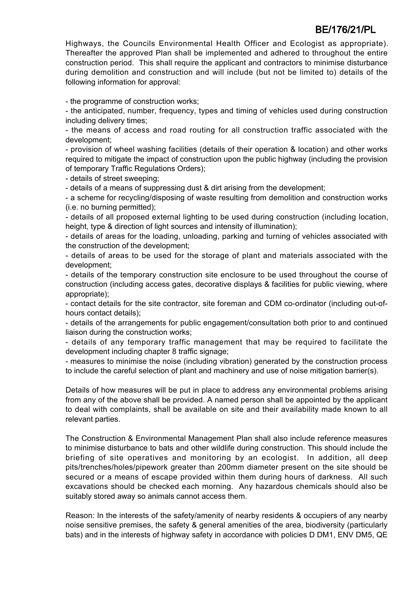Highways, the Councils Environmental Health Officer and Ecologist as appropriate). Thereafter the approved Plan shall be implemented and adhered to throughout the entire construction period. This shall require the applicant and contractors to minimise disturbance during demolition and construction and will include (but not be limited to) details of the following information for approval:

- the programme of construction works;

- the anticipated, number, frequency, types and timing of vehicles used during construction including delivery times;

- the means of access and road routing for all construction traffic associated with the development;

- provision of wheel washing facilities (details of their operation & location) and other works required to mitigate the impact of construction upon the public highway (including the provision of temporary Traffic Regulations Orders);

- details of street sweeping;

- details of a means of suppressing dust & dirt arising from the development;

- a scheme for recycling/disposing of waste resulting from demolition and construction works (i.e. no burning permitted);

- details of all proposed external lighting to be used during construction (including location, height, type & direction of light sources and intensity of illumination);

- details of areas for the loading, unloading, parking and turning of vehicles associated with the construction of the development;

- details of areas to be used for the storage of plant and materials associated with the development;

- details of the temporary construction site enclosure to be used throughout the course of construction (including access gates, decorative displays & facilities for public viewing, where appropriate);

- contact details for the site contractor, site foreman and CDM co-ordinator (including out-ofhours contact details);

- details of the arrangements for public engagement/consultation both prior to and continued liaison during the construction works;

- details of any temporary traffic management that may be required to facilitate the development including chapter 8 traffic signage;

- measures to minimise the noise (including vibration) generated by the construction process to include the careful selection of plant and machinery and use of noise mitigation barrier(s).

Details of how measures will be put in place to address any environmental problems arising from any of the above shall be provided. A named person shall be appointed by the applicant to deal with complaints, shall be available on site and their availability made known to all relevant parties.

The Construction & Environmental Management Plan shall also include reference measures to minimise disturbance to bats and other wildlife during construction. This should include the briefing of site operatives and monitoring by an ecologist. In addition, all deep pits/trenches/holes/pipework greater than 200mm diameter present on the site should be secured or a means of escape provided within them during hours of darkness. All such excavations should be checked each morning. Any hazardous chemicals should also be suitably stored away so animals cannot access them.

Reason: In the interests of the safety/amenity of nearby residents & occupiers of any nearby noise sensitive premises, the safety & general amenities of the area, biodiversity (particularly bats) and in the interests of highway safety in accordance with policies D DM1, ENV DM5, QE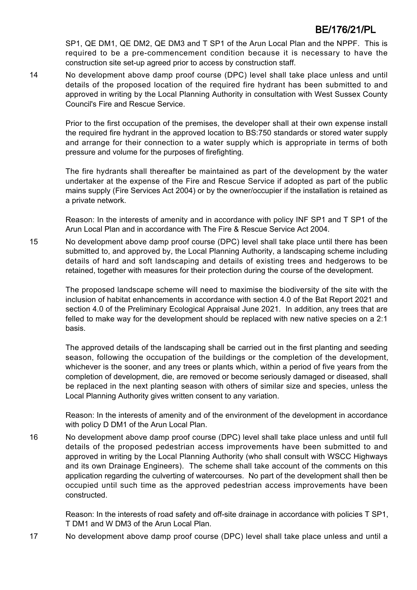SP1, QE DM1, QE DM2, QE DM3 and T SP1 of the Arun Local Plan and the NPPF. This is required to be a pre-commencement condition because it is necessary to have the construction site set-up agreed prior to access by construction staff.

14 No development above damp proof course (DPC) level shall take place unless and until details of the proposed location of the required fire hydrant has been submitted to and approved in writing by the Local Planning Authority in consultation with West Sussex County Council's Fire and Rescue Service.

Prior to the first occupation of the premises, the developer shall at their own expense install the required fire hydrant in the approved location to BS:750 standards or stored water supply and arrange for their connection to a water supply which is appropriate in terms of both pressure and volume for the purposes of firefighting.

The fire hydrants shall thereafter be maintained as part of the development by the water undertaker at the expense of the Fire and Rescue Service if adopted as part of the public mains supply (Fire Services Act 2004) or by the owner/occupier if the installation is retained as a private network.

Reason: In the interests of amenity and in accordance with policy INF SP1 and T SP1 of the Arun Local Plan and in accordance with The Fire & Rescue Service Act 2004.

15 No development above damp proof course (DPC) level shall take place until there has been submitted to, and approved by, the Local Planning Authority, a landscaping scheme including details of hard and soft landscaping and details of existing trees and hedgerows to be retained, together with measures for their protection during the course of the development.

The proposed landscape scheme will need to maximise the biodiversity of the site with the inclusion of habitat enhancements in accordance with section 4.0 of the Bat Report 2021 and section 4.0 of the Preliminary Ecological Appraisal June 2021. In addition, any trees that are felled to make way for the development should be replaced with new native species on a 2:1 basis.

The approved details of the landscaping shall be carried out in the first planting and seeding season, following the occupation of the buildings or the completion of the development, whichever is the sooner, and any trees or plants which, within a period of five years from the completion of development, die, are removed or become seriously damaged or diseased, shall be replaced in the next planting season with others of similar size and species, unless the Local Planning Authority gives written consent to any variation.

Reason: In the interests of amenity and of the environment of the development in accordance with policy D DM1 of the Arun Local Plan.

16 No development above damp proof course (DPC) level shall take place unless and until full details of the proposed pedestrian access improvements have been submitted to and approved in writing by the Local Planning Authority (who shall consult with WSCC Highways and its own Drainage Engineers). The scheme shall take account of the comments on this application regarding the culverting of watercourses. No part of the development shall then be occupied until such time as the approved pedestrian access improvements have been constructed.

Reason: In the interests of road safety and off-site drainage in accordance with policies T SP1, T DM1 and W DM3 of the Arun Local Plan.

17 No development above damp proof course (DPC) level shall take place unless and until a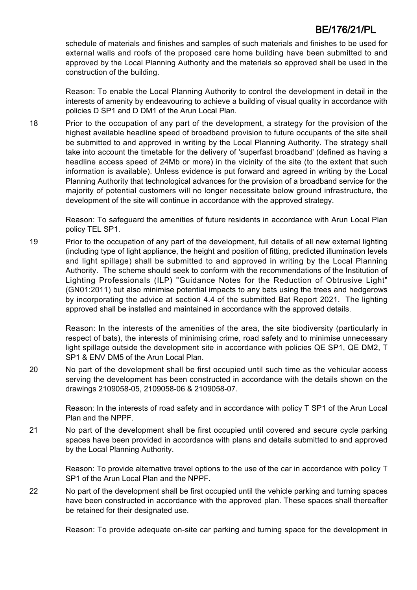schedule of materials and finishes and samples of such materials and finishes to be used for external walls and roofs of the proposed care home building have been submitted to and approved by the Local Planning Authority and the materials so approved shall be used in the construction of the building.

Reason: To enable the Local Planning Authority to control the development in detail in the interests of amenity by endeavouring to achieve a building of visual quality in accordance with policies D SP1 and D DM1 of the Arun Local Plan.

18 Prior to the occupation of any part of the development, a strategy for the provision of the highest available headline speed of broadband provision to future occupants of the site shall be submitted to and approved in writing by the Local Planning Authority. The strategy shall take into account the timetable for the delivery of 'superfast broadband' (defined as having a headline access speed of 24Mb or more) in the vicinity of the site (to the extent that such information is available). Unless evidence is put forward and agreed in writing by the Local Planning Authority that technological advances for the provision of a broadband service for the majority of potential customers will no longer necessitate below ground infrastructure, the development of the site will continue in accordance with the approved strategy.

Reason: To safeguard the amenities of future residents in accordance with Arun Local Plan policy TEL SP1.

19 Prior to the occupation of any part of the development, full details of all new external lighting (including type of light appliance, the height and position of fitting, predicted illumination levels and light spillage) shall be submitted to and approved in writing by the Local Planning Authority. The scheme should seek to conform with the recommendations of the Institution of Lighting Professionals (ILP) "Guidance Notes for the Reduction of Obtrusive Light" (GN01:2011) but also minimise potential impacts to any bats using the trees and hedgerows by incorporating the advice at section 4.4 of the submitted Bat Report 2021. The lighting approved shall be installed and maintained in accordance with the approved details.

Reason: In the interests of the amenities of the area, the site biodiversity (particularly in respect of bats), the interests of minimising crime, road safety and to minimise unnecessary light spillage outside the development site in accordance with policies QE SP1, QE DM2, T SP1 & ENV DM5 of the Arun Local Plan.

20 No part of the development shall be first occupied until such time as the vehicular access serving the development has been constructed in accordance with the details shown on the drawings 2109058-05, 2109058-06 & 2109058-07.

> Reason: In the interests of road safety and in accordance with policy T SP1 of the Arun Local Plan and the NPPF.

21 No part of the development shall be first occupied until covered and secure cycle parking spaces have been provided in accordance with plans and details submitted to and approved by the Local Planning Authority.

> Reason: To provide alternative travel options to the use of the car in accordance with policy T SP1 of the Arun Local Plan and the NPPF.

22 No part of the development shall be first occupied until the vehicle parking and turning spaces have been constructed in accordance with the approved plan. These spaces shall thereafter be retained for their designated use.

Reason: To provide adequate on-site car parking and turning space for the development in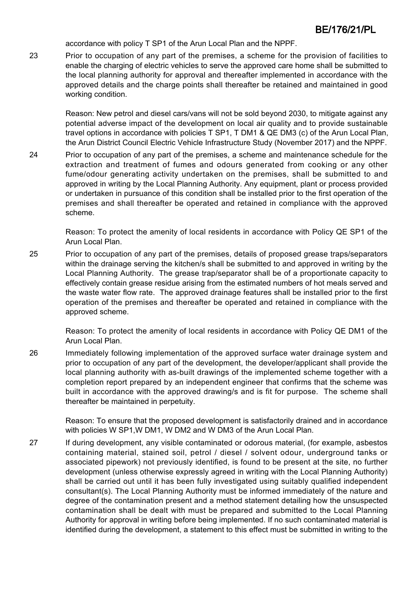accordance with policy T SP1 of the Arun Local Plan and the NPPF.

23 Prior to occupation of any part of the premises, a scheme for the provision of facilities to enable the charging of electric vehicles to serve the approved care home shall be submitted to the local planning authority for approval and thereafter implemented in accordance with the approved details and the charge points shall thereafter be retained and maintained in good working condition.

> Reason: New petrol and diesel cars/vans will not be sold beyond 2030, to mitigate against any potential adverse impact of the development on local air quality and to provide sustainable travel options in accordance with policies T SP1, T DM1 & QE DM3 (c) of the Arun Local Plan, the Arun District Council Electric Vehicle Infrastructure Study (November 2017) and the NPPF.

24 Prior to occupation of any part of the premises, a scheme and maintenance schedule for the extraction and treatment of fumes and odours generated from cooking or any other fume/odour generating activity undertaken on the premises, shall be submitted to and approved in writing by the Local Planning Authority. Any equipment, plant or process provided or undertaken in pursuance of this condition shall be installed prior to the first operation of the premises and shall thereafter be operated and retained in compliance with the approved scheme.

> Reason: To protect the amenity of local residents in accordance with Policy QE SP1 of the Arun Local Plan.

25 Prior to occupation of any part of the premises, details of proposed grease traps/separators within the drainage serving the kitchen/s shall be submitted to and approved in writing by the Local Planning Authority. The grease trap/separator shall be of a proportionate capacity to effectively contain grease residue arising from the estimated numbers of hot meals served and the waste water flow rate. The approved drainage features shall be installed prior to the first operation of the premises and thereafter be operated and retained in compliance with the approved scheme.

> Reason: To protect the amenity of local residents in accordance with Policy QE DM1 of the Arun Local Plan.

26 Immediately following implementation of the approved surface water drainage system and prior to occupation of any part of the development, the developer/applicant shall provide the local planning authority with as-built drawings of the implemented scheme together with a completion report prepared by an independent engineer that confirms that the scheme was built in accordance with the approved drawing/s and is fit for purpose. The scheme shall thereafter be maintained in perpetuity.

> Reason: To ensure that the proposed development is satisfactorily drained and in accordance with policies W SP1,W DM1, W DM2 and W DM3 of the Arun Local Plan.

27 If during development, any visible contaminated or odorous material, (for example, asbestos containing material, stained soil, petrol / diesel / solvent odour, underground tanks or associated pipework) not previously identified, is found to be present at the site, no further development (unless otherwise expressly agreed in writing with the Local Planning Authority) shall be carried out until it has been fully investigated using suitably qualified independent consultant(s). The Local Planning Authority must be informed immediately of the nature and degree of the contamination present and a method statement detailing how the unsuspected contamination shall be dealt with must be prepared and submitted to the Local Planning Authority for approval in writing before being implemented. If no such contaminated material is identified during the development, a statement to this effect must be submitted in writing to the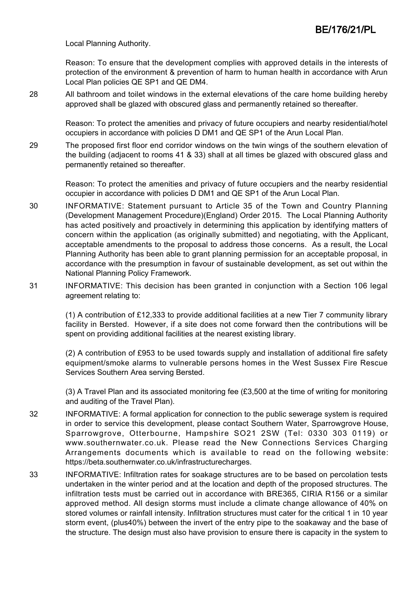Local Planning Authority.

Reason: To ensure that the development complies with approved details in the interests of protection of the environment & prevention of harm to human health in accordance with Arun Local Plan policies QE SP1 and QE DM4.

28 All bathroom and toilet windows in the external elevations of the care home building hereby approved shall be glazed with obscured glass and permanently retained so thereafter.

> Reason: To protect the amenities and privacy of future occupiers and nearby residential/hotel occupiers in accordance with policies D DM1 and QE SP1 of the Arun Local Plan.

29 The proposed first floor end corridor windows on the twin wings of the southern elevation of the building (adjacent to rooms 41 & 33) shall at all times be glazed with obscured glass and permanently retained so thereafter.

> Reason: To protect the amenities and privacy of future occupiers and the nearby residential occupier in accordance with policies D DM1 and QE SP1 of the Arun Local Plan.

- 30 INFORMATIVE: Statement pursuant to Article 35 of the Town and Country Planning (Development Management Procedure)(England) Order 2015. The Local Planning Authority has acted positively and proactively in determining this application by identifying matters of concern within the application (as originally submitted) and negotiating, with the Applicant, acceptable amendments to the proposal to address those concerns. As a result, the Local Planning Authority has been able to grant planning permission for an acceptable proposal, in accordance with the presumption in favour of sustainable development, as set out within the National Planning Policy Framework.
- 31 INFORMATIVE: This decision has been granted in conjunction with a Section 106 legal agreement relating to:

(1) A contribution of £12,333 to provide additional facilities at a new Tier 7 community library facility in Bersted. However, if a site does not come forward then the contributions will be spent on providing additional facilities at the nearest existing library.

(2) A contribution of £953 to be used towards supply and installation of additional fire safety equipment/smoke alarms to vulnerable persons homes in the West Sussex Fire Rescue Services Southern Area serving Bersted.

(3) A Travel Plan and its associated monitoring fee (£3,500 at the time of writing for monitoring and auditing of the Travel Plan).

- 32 INFORMATIVE: A formal application for connection to the public sewerage system is required in order to service this development, please contact Southern Water, Sparrowgrove House, Sparrowgrove, Otterbourne, Hampshire SO21 2SW (Tel: 0330 303 0119) or www.southernwater.co.uk. Please read the New Connections Services Charging Arrangements documents which is available to read on the following website: https://beta.southernwater.co.uk/infrastructurecharges.
- 33 INFORMATIVE: Infiltration rates for soakage structures are to be based on percolation tests undertaken in the winter period and at the location and depth of the proposed structures. The infiltration tests must be carried out in accordance with BRE365, CIRIA R156 or a similar approved method. All design storms must include a climate change allowance of 40% on stored volumes or rainfall intensity. Infiltration structures must cater for the critical 1 in 10 year storm event, (plus40%) between the invert of the entry pipe to the soakaway and the base of the structure. The design must also have provision to ensure there is capacity in the system to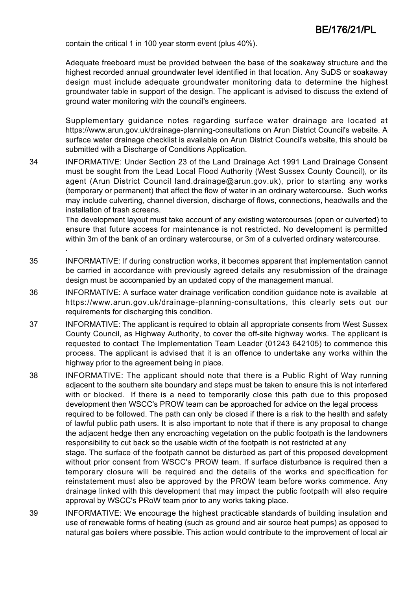contain the critical 1 in 100 year storm event (plus 40%).

.

Adequate freeboard must be provided between the base of the soakaway structure and the highest recorded annual groundwater level identified in that location. Any SuDS or soakaway design must include adequate groundwater monitoring data to determine the highest groundwater table in support of the design. The applicant is advised to discuss the extend of ground water monitoring with the council's engineers.

Supplementary guidance notes regarding surface water drainage are located at https://www.arun.gov.uk/drainage-planning-consultations on Arun District Council's website. A surface water drainage checklist is available on Arun District Council's website, this should be submitted with a Discharge of Conditions Application.

34 INFORMATIVE: Under Section 23 of the Land Drainage Act 1991 Land Drainage Consent must be sought from the Lead Local Flood Authority (West Sussex County Council), or its agent (Arun District Council land.drainage@arun.gov.uk), prior to starting any works (temporary or permanent) that affect the flow of water in an ordinary watercourse. Such works may include culverting, channel diversion, discharge of flows, connections, headwalls and the installation of trash screens.

> The development layout must take account of any existing watercourses (open or culverted) to ensure that future access for maintenance is not restricted. No development is permitted within 3m of the bank of an ordinary watercourse, or 3m of a culverted ordinary watercourse.

- 35 INFORMATIVE: If during construction works, it becomes apparent that implementation cannot be carried in accordance with previously agreed details any resubmission of the drainage design must be accompanied by an updated copy of the management manual.
- 36 INFORMATIVE: A surface water drainage verification condition guidance note is available at https://www.arun.gov.uk/drainage-planning-consultations, this clearly sets out our requirements for discharging this condition.
- 37 INFORMATIVE: The applicant is required to obtain all appropriate consents from West Sussex County Council, as Highway Authority, to cover the off-site highway works. The applicant is requested to contact The Implementation Team Leader (01243 642105) to commence this process. The applicant is advised that it is an offence to undertake any works within the highway prior to the agreement being in place.
- 38 INFORMATIVE: The applicant should note that there is a Public Right of Way running adjacent to the southern site boundary and steps must be taken to ensure this is not interfered with or blocked. If there is a need to temporarily close this path due to this proposed development then WSCC's PROW team can be approached for advice on the legal process required to be followed. The path can only be closed if there is a risk to the health and safety of lawful public path users. It is also important to note that if there is any proposal to change the adjacent hedge then any encroaching vegetation on the public footpath is the landowners responsibility to cut back so the usable width of the footpath is not restricted at any stage. The surface of the footpath cannot be disturbed as part of this proposed development without prior consent from WSCC's PROW team. If surface disturbance is required then a temporary closure will be required and the details of the works and specification for reinstatement must also be approved by the PROW team before works commence. Any drainage linked with this development that may impact the public footpath will also require approval by WSCC's PRoW team prior to any works taking place.
- 39 INFORMATIVE: We encourage the highest practicable standards of building insulation and use of renewable forms of heating (such as ground and air source heat pumps) as opposed to natural gas boilers where possible. This action would contribute to the improvement of local air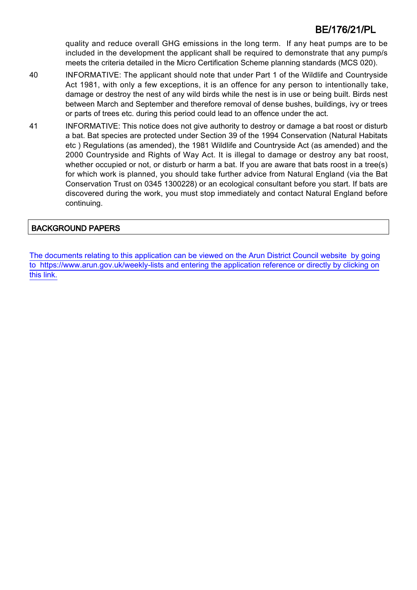quality and reduce overall GHG emissions in the long term. If any heat pumps are to be included in the development the applicant shall be required to demonstrate that any pump/s meets the criteria detailed in the Micro Certification Scheme planning standards (MCS 020).

- 40 INFORMATIVE: The applicant should note that under Part 1 of the Wildlife and Countryside Act 1981, with only a few exceptions, it is an offence for any person to intentionally take, damage or destroy the nest of any wild birds while the nest is in use or being built. Birds nest between March and September and therefore removal of dense bushes, buildings, ivy or trees or parts of trees etc. during this period could lead to an offence under the act.
- 41 INFORMATIVE: This notice does not give authority to destroy or damage a bat roost or disturb a bat. Bat species are protected under Section 39 of the 1994 Conservation (Natural Habitats etc ) Regulations (as amended), the 1981 Wildlife and Countryside Act (as amended) and the 2000 Countryside and Rights of Way Act. It is illegal to damage or destroy any bat roost, whether occupied or not, or disturb or harm a bat. If you are aware that bats roost in a tree(s) for which work is planned, you should take further advice from Natural England (via the Bat Conservation Trust on 0345 1300228) or an ecological consultant before you start. If bats are discovered during the work, you must stop immediately and contact Natural England before continuing.

# BACKGROUND PAPERS

[The documents relating to this application can be viewed on the Arun District Council website by going](http://www1.arun.gov.uk/planrec/index.cfm?tpkey=eOcella&user_key_1=BE/176/21/PL&keyscheme=planning) [to https://www.arun.gov.uk/weekly-lists and entering the application reference or directly by clicking on](http://www1.arun.gov.uk/planrec/index.cfm?tpkey=eOcella&user_key_1=BE/176/21/PL&keyscheme=planning) [this link.](http://www1.arun.gov.uk/planrec/index.cfm?tpkey=eOcella&user_key_1=BE/176/21/PL&keyscheme=planning)